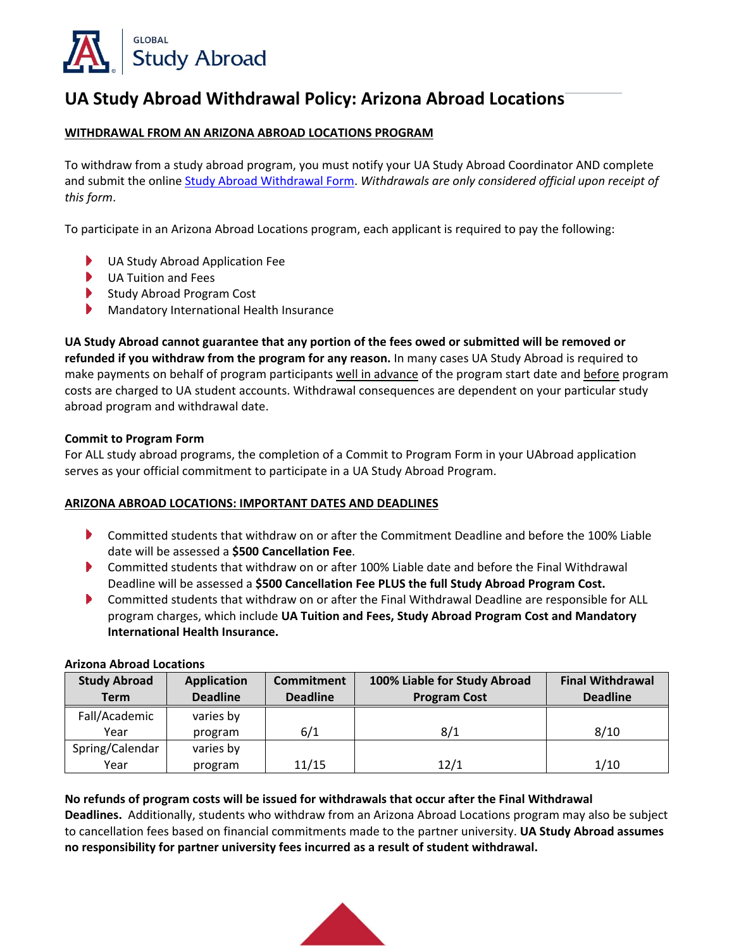

# **UA Study Abroad Withdrawal Policy: Arizona Abroad Locations**

## **WITHDRAWAL FROM AN ARIZONA ABROAD LOCATIONS PROGRAM**

To withdraw from a study abroad program, you must notify your UA Study Abroad Coordinator AND complete and submit the online [Study Abroad Withdrawal Form.](https://global.arizona.edu/study-abroad-withdrawal-form) *Withdrawals are only considered official upon receipt of this form*.

To participate in an Arizona Abroad Locations program, each applicant is required to pay the following:

- Þ UA Study Abroad Application Fee
- $\blacktriangleright$ UA Tuition and Fees
- Study Abroad Program Cost
- $\blacktriangleright$ Mandatory International Health Insurance

**UA Study Abroad cannot guarantee that any portion of the fees owed or submitted will be removed or refunded if you withdraw from the program for any reason.** In many cases UA Study Abroad is required to make payments on behalf of program participants well in advance of the program start date and before program costs are charged to UA student accounts. Withdrawal consequences are dependent on your particular study abroad program and withdrawal date.

#### **Commit to Program Form**

For ALL study abroad programs, the completion of a Commit to Program Form in your UAbroad application serves as your official commitment to participate in a UA Study Abroad Program.

#### **ARIZONA ABROAD LOCATIONS: IMPORTANT DATES AND DEADLINES**

- Committed students that withdraw on or after the Commitment Deadline and before the 100% Liable date will be assessed a **\$500 Cancellation Fee**.
- Committed students that withdraw on or after 100% Liable date and before the Final Withdrawal Deadline will be assessed a **\$500 Cancellation Fee PLUS the full Study Abroad Program Cost.**
- Committed students that withdraw on or after the Final Withdrawal Deadline are responsible for ALL program charges, which include **UA Tuition and Fees, Study Abroad Program Cost and Mandatory International Health Insurance.**

| <b>Study Abroad</b><br><b>Term</b> | <b>Application</b><br><b>Deadline</b> | Commitment<br><b>Deadline</b> | 100% Liable for Study Abroad<br><b>Program Cost</b> | <b>Final Withdrawal</b><br><b>Deadline</b> |
|------------------------------------|---------------------------------------|-------------------------------|-----------------------------------------------------|--------------------------------------------|
| Fall/Academic                      | varies by                             |                               |                                                     |                                            |
| Year                               | program                               | 6/1                           | 8/1                                                 | 8/10                                       |
| Spring/Calendar                    | varies by                             |                               |                                                     |                                            |
| Year                               | program                               | 11/15                         | 12/1                                                | 1/10                                       |

#### **Arizona Abroad Locations**

### **No refunds of program costs will be issued for withdrawals that occur after the Final Withdrawal**

**Deadlines.** Additionally, students who withdraw from an Arizona Abroad Locations program may also be subject to cancellation fees based on financial commitments made to the partner university. **UA Study Abroad assumes no responsibility for partner university fees incurred as a result of student withdrawal.**